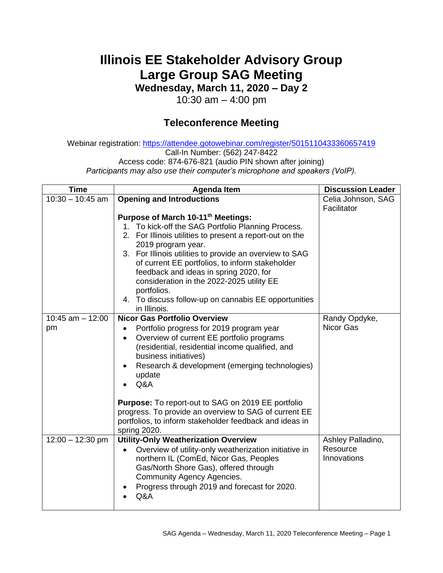## **Illinois EE Stakeholder Advisory Group Large Group SAG Meeting**

**Wednesday, March 11, 2020 – Day 2**

10:30 am – 4:00 pm

## **Teleconference Meeting**

Webinar registration: <https://attendee.gotowebinar.com/register/5015110433360657419> Call-In Number: (562) 247-8422 Access code: 874-676-821 (audio PIN shown after joining) *Participants may also use their computer's microphone and speakers (VoIP).*

| <b>Time</b>              | <b>Agenda Item</b>                                                                                                                                                                                                                                                                                                                                                                                                                                                                     | <b>Discussion Leader</b>                     |
|--------------------------|----------------------------------------------------------------------------------------------------------------------------------------------------------------------------------------------------------------------------------------------------------------------------------------------------------------------------------------------------------------------------------------------------------------------------------------------------------------------------------------|----------------------------------------------|
| $10:30 - 10:45$ am       | <b>Opening and Introductions</b>                                                                                                                                                                                                                                                                                                                                                                                                                                                       | Celia Johnson, SAG                           |
|                          | Purpose of March 10-11th Meetings:<br>1. To kick-off the SAG Portfolio Planning Process.<br>2. For Illinois utilities to present a report-out on the<br>2019 program year.<br>3. For Illinois utilities to provide an overview to SAG<br>of current EE portfolios, to inform stakeholder<br>feedback and ideas in spring 2020, for<br>consideration in the 2022-2025 utility EE<br>portfolios.<br>4. To discuss follow-up on cannabis EE opportunities<br>in Illinois.                 | Facilitator                                  |
| 10:45 am $-$ 12:00<br>pm | <b>Nicor Gas Portfolio Overview</b><br>Portfolio progress for 2019 program year<br>Overview of current EE portfolio programs<br>$\bullet$<br>(residential, residential income qualified, and<br>business initiatives)<br>Research & development (emerging technologies)<br>$\bullet$<br>update<br>Q&A<br><b>Purpose:</b> To report-out to SAG on 2019 EE portfolio<br>progress. To provide an overview to SAG of current EE<br>portfolios, to inform stakeholder feedback and ideas in | Randy Opdyke,<br>Nicor Gas                   |
| $12:00 - 12:30$ pm       | spring 2020.<br><b>Utility-Only Weatherization Overview</b><br>Overview of utility-only weatherization initiative in<br>$\bullet$<br>northern IL (ComEd, Nicor Gas, Peoples<br>Gas/North Shore Gas), offered through<br><b>Community Agency Agencies.</b><br>Progress through 2019 and forecast for 2020.<br>Q&A                                                                                                                                                                       | Ashley Palladino,<br>Resource<br>Innovations |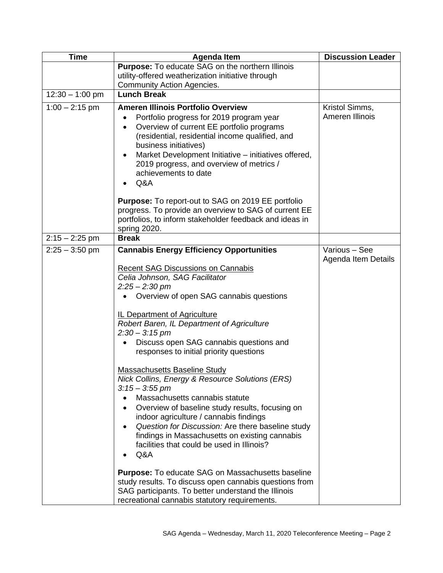| <b>Time</b>       | <b>Agenda Item</b>                                                                                               | <b>Discussion Leader</b>             |
|-------------------|------------------------------------------------------------------------------------------------------------------|--------------------------------------|
|                   | Purpose: To educate SAG on the northern Illinois                                                                 |                                      |
|                   | utility-offered weatherization initiative through                                                                |                                      |
|                   | <b>Community Action Agencies.</b><br>Lunch Break                                                                 |                                      |
| $12:30 - 1:00$ pm |                                                                                                                  |                                      |
| $1:00 - 2:15$ pm  | <b>Ameren Illinois Portfolio Overview</b>                                                                        | Kristol Simms,                       |
|                   | Portfolio progress for 2019 program year                                                                         | Ameren Illinois                      |
|                   | Overview of current EE portfolio programs<br>$\bullet$<br>(residential, residential income qualified, and        |                                      |
|                   | business initiatives)                                                                                            |                                      |
|                   | Market Development Initiative – initiatives offered,<br>٠                                                        |                                      |
|                   | 2019 progress, and overview of metrics /                                                                         |                                      |
|                   | achievements to date                                                                                             |                                      |
|                   | Q&A                                                                                                              |                                      |
|                   | <b>Purpose:</b> To report-out to SAG on 2019 EE portfolio                                                        |                                      |
|                   | progress. To provide an overview to SAG of current EE                                                            |                                      |
|                   | portfolios, to inform stakeholder feedback and ideas in                                                          |                                      |
|                   | spring 2020.                                                                                                     |                                      |
| $2:15 - 2:25$ pm  | <b>Break</b>                                                                                                     |                                      |
| $2:25 - 3:50$ pm  | <b>Cannabis Energy Efficiency Opportunities</b>                                                                  | Various - See<br>Agenda Item Details |
|                   | <b>Recent SAG Discussions on Cannabis</b>                                                                        |                                      |
|                   | Celia Johnson, SAG Facilitator                                                                                   |                                      |
|                   | $2:25 - 2:30$ pm                                                                                                 |                                      |
|                   | Overview of open SAG cannabis questions                                                                          |                                      |
|                   | IL Department of Agriculture                                                                                     |                                      |
|                   | Robert Baren, IL Department of Agriculture                                                                       |                                      |
|                   | $2:30 - 3:15$ pm                                                                                                 |                                      |
|                   | Discuss open SAG cannabis questions and                                                                          |                                      |
|                   | responses to initial priority questions                                                                          |                                      |
|                   | <b>Massachusetts Baseline Study</b>                                                                              |                                      |
|                   | Nick Collins, Energy & Resource Solutions (ERS)                                                                  |                                      |
|                   | $3:15 - 3:55$ pm                                                                                                 |                                      |
|                   | Massachusetts cannabis statute                                                                                   |                                      |
|                   | Overview of baseline study results, focusing on                                                                  |                                      |
|                   | indoor agriculture / cannabis findings                                                                           |                                      |
|                   | Question for Discussion: Are there baseline study<br>$\bullet$<br>findings in Massachusetts on existing cannabis |                                      |
|                   | facilities that could be used in Illinois?                                                                       |                                      |
|                   | Q&A                                                                                                              |                                      |
|                   |                                                                                                                  |                                      |
|                   | <b>Purpose:</b> To educate SAG on Massachusetts baseline                                                         |                                      |
|                   | study results. To discuss open cannabis questions from                                                           |                                      |
|                   | SAG participants. To better understand the Illinois<br>recreational cannabis statutory requirements.             |                                      |
|                   |                                                                                                                  |                                      |